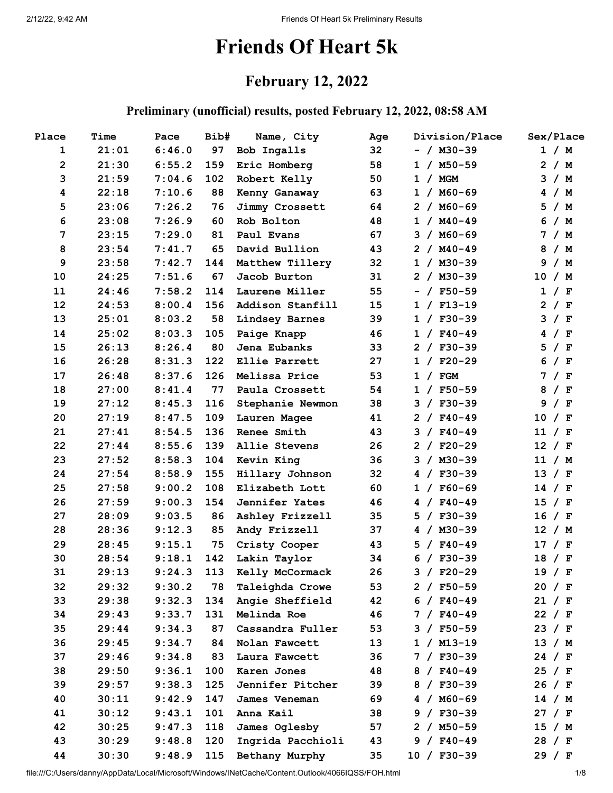# **Friends Of Heart 5k**

# **February 12, 2022**

#### **Preliminary (unofficial) results, posted February 12, 2022, 08:58 AM**

| Place                   | Time  | Pace   | Bib# | Name, City            | Age | Division/Place    | Sex/Place                        |
|-------------------------|-------|--------|------|-----------------------|-----|-------------------|----------------------------------|
| $\mathbf 1$             | 21:01 | 6:46.0 | 97   | Bob Ingalls           | 32  | $- / M30-39$      | 1 / M                            |
| $\overline{\mathbf{c}}$ | 21:30 | 6:55.2 | 159  | Eric Homberg          | 58  | $1 / M50-59$      | $\overline{2}$<br>/ M            |
| 3                       | 21:59 | 7:04.6 | 102  | Robert Kelly          | 50  | <b>MGM</b><br>1 / | 3<br>/M                          |
| $\boldsymbol{4}$        | 22:18 | 7:10.6 | 88   | Kenny Ganaway         | 63  | $1 / MO-69$       | /M<br>4                          |
| 5                       | 23:06 | 7:26.2 | 76   | Jimmy Crossett        | 64  | $2 / MO-69$       | 5.<br>/ M                        |
| 6                       | 23:08 | 7:26.9 | 60   | Rob Bolton            | 48  | $1 / M40 - 49$    | 6<br>/M                          |
| 7                       | 23:15 | 7:29.0 | 81   | Paul Evans            | 67  | $/$ M60-69<br>3   | /M<br>7                          |
| 8                       | 23:54 | 7:41.7 | 65   | David Bullion         | 43  | $2 / MA0-49$      | 8<br>/ M                         |
| 9                       | 23:58 | 7:42.7 | 144  | Matthew Tillery       | 32  | $1 / M30-39$      | 9<br>/M                          |
| 10                      | 24:25 | 7:51.6 | 67   | Jacob Burton          | 31  | $2 / M30-39$      | 10 / M                           |
| 11                      | 24:46 | 7:58.2 | 114  | Laurene Miller        | 55  | $- / F50-59$      | 1<br>/ $F$                       |
| 12                      | 24:53 | 8:00.4 | 156  | Addison Stanfill      | 15  | $1 / F13-19$      | / $\mathbf{F}$<br>$\overline{2}$ |
| 13                      | 25:01 | 8:03.2 | 58   | Lindsey Barnes        | 39  | $1 / F30-39$      | з<br>/ $\mathbf F$               |
| 14                      | 25:02 | 8:03.3 | 105  | Paige Knapp           | 46  | $1 / F40-49$      | 4<br>/ F                         |
| 15                      | 26:13 | 8:26.4 | 80   | Jena Eubanks          | 33  | $2 / F30-39$      | 5<br>/ $\mathbf F$               |
| 16                      | 26:28 | 8:31.3 | 122  | Ellie Parrett         | 27  | $1 / F20-29$      | 6<br>/ F                         |
| 17                      | 26:48 | 8:37.6 | 126  | Melissa Price         | 53  | 1 / FGM           | / $\mathbf{F}$<br>7              |
| 18                      | 27:00 | 8:41.4 | 77   | Paula Crossett        | 54  | $1 / F50-59$      | 8<br>/ F                         |
| 19                      | 27:12 | 8:45.3 | 116  | Stephanie Newmon      | 38  | $3 / F30-39$      | 9<br>/ $\mathbf F$               |
| 20                      | 27:19 | 8:47.5 | 109  | Lauren Magee          | 41  | $2 / F40-49$      | 10<br>/ $F$                      |
| 21                      | 27:41 | 8:54.5 | 136  | Renee Smith           | 43  | $3 / F40-49$      | 11 / F                           |
| 22                      | 27:44 | 8:55.6 | 139  | Allie Stevens         | 26  | $2 / F20-29$      | 12<br>/ F                        |
| 23                      | 27:52 | 8:58.3 | 104  | Kevin King            | 36  | $3 / M30-39$      | 11 / M                           |
| 24                      | 27:54 | 8:58.9 | 155  | Hillary Johnson       | 32  | $4 / F30-39$      | 13<br>/ F                        |
| 25                      | 27:58 | 9:00.2 | 108  | Elizabeth Lott        | 60  | $1 / F60-69$      | 14<br>/ F                        |
| 26                      | 27:59 | 9:00.3 | 154  | <b>Jennifer Yates</b> | 46  | $4 / F40-49$      | 15<br>/ F                        |
| 27                      | 28:09 | 9:03.5 | 86   | Ashley Frizzell       | 35  | $/$ F30-39<br>5.  | 16<br>/ F                        |
| 28                      | 28:36 | 9:12.3 | 85   | Andy Frizzell         | 37  | $4 / M30-39$      | 12<br>/ M                        |
| 29                      | 28:45 | 9:15.1 | 75   | Cristy Cooper         | 43  | $/ F40-49$<br>5.  | / $\mathbf{F}$<br>17             |
| 30                      | 28:54 | 9:18.1 | 142  | Lakin Taylor          | 34  | $/ F30-39$<br>6   | 18<br>/ $F$                      |
| 31                      | 29:13 | 9:24.3 | 113  | Kelly McCormack       | 26  | $3 / F20-29$      | 19 / F                           |
| 32                      | 29:32 | 9:30.2 | 78   | Taleighda Crowe       | 53  | $2 / F50-59$      | 20 / F                           |
| 33                      | 29:38 | 9:32.3 | 134  | Angie Sheffield       | 42  | $6 / F40-49$      | 21 / F                           |
| 34                      | 29:43 | 9:33.7 | 131  | Melinda Roe           | 46  | $7 / F40-49$      | 22 / F                           |
| 35                      | 29:44 | 9:34.3 | 87   | Cassandra Fuller      | 53  | $3 / F50-59$      | 23 / F                           |
| 36                      | 29:45 | 9:34.7 | 84   | Nolan Fawcett         | 13  | $1 / M13-19$      | 13 / M                           |
| 37                      | 29:46 | 9:34.8 | 83   | Laura Fawcett         | 36  | $7 / F30-39$      | 24 / F                           |
| 38                      | 29:50 | 9:36.1 | 100  | Karen Jones           | 48  | $8 / F40-49$      | 25 / F                           |
| 39                      | 29:57 | 9:38.3 | 125  | Jennifer Pitcher      | 39  | 8 / F30-39        | 26 / F                           |
| 40                      | 30:11 | 9:42.9 | 147  | James Veneman         | 69  | $4 / MO-69$       | 14 / M                           |
| 41                      | 30:12 | 9:43.1 | 101  | Anna Kail             | 38  | $9 / F30-39$      | 27 / F                           |
| 42                      | 30:25 | 9:47.3 | 118  | James Oglesby         | 57  | $2 / M50-59$      | 15 / M                           |
| 43                      | 30:29 | 9:48.8 | 120  | Ingrida Pacchioli     | 43  | $9 / F40-49$      | 28 / F                           |
| 44                      | 30:30 | 9:48.9 | 115  | Bethany Murphy        | 35  | $10 / F30-39$     | 29 / F                           |

file:///C:/Users/danny/AppData/Local/Microsoft/Windows/INetCache/Content.Outlook/4066IQSS/FOH.html 1/8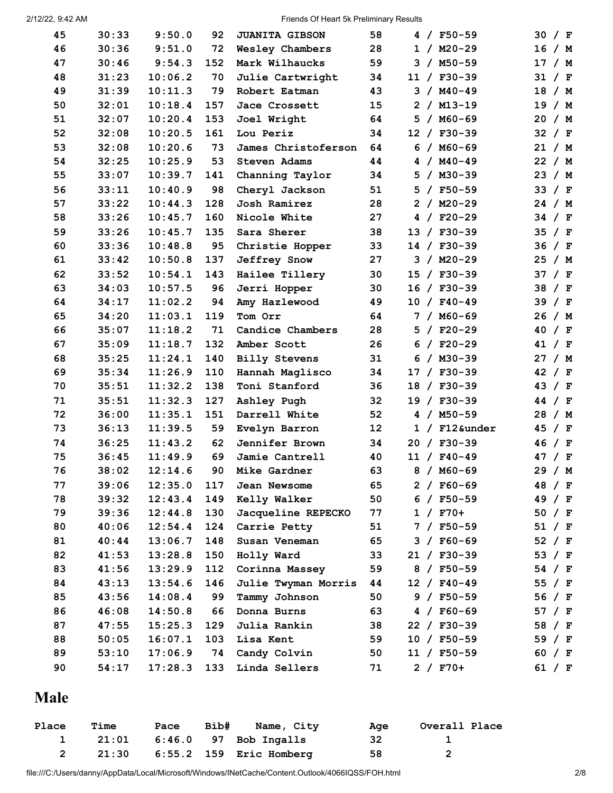2/12/22, 9:42 AM Friends Of Heart 5k Preliminary Results

| 45 | 30:33 | 9:50.0  | 92  | <b>JUANITA GIBSON</b> | 58 |  | $4 / F50-59$    | 30 / F            |        |
|----|-------|---------|-----|-----------------------|----|--|-----------------|-------------------|--------|
| 46 | 30:36 | 9:51.0  | 72  | Wesley Chambers       | 28 |  | $1 / M20-29$    | 16 / M            |        |
| 47 | 30:46 | 9:54.3  | 152 | Mark Wilhaucks        | 59 |  | $3 / M50 - 59$  | 17 / M            |        |
| 48 | 31:23 | 10:06.2 | 70  | Julie Cartwright      | 34 |  | $11 / F30-39$   | 31 / F            |        |
| 49 | 31:39 | 10:11.3 | 79  | Robert Eatman         | 43 |  | $3 / M40 - 49$  | 18 / M            |        |
| 50 | 32:01 | 10:18.4 | 157 | Jace Crossett         | 15 |  | $2 / M13-19$    | 19 / M            |        |
| 51 | 32:07 | 10:20.4 | 153 | Joel Wright           | 64 |  | $5 / MO-69$     | 20 / M            |        |
| 52 | 32:08 | 10:20.5 | 161 | Lou Periz             | 34 |  | $12 / F30-39$   | 32 / F            |        |
| 53 | 32:08 | 10:20.6 | 73  | James Christoferson   | 64 |  | $6 / MO-69$     | 21 / M            |        |
| 54 | 32:25 | 10:25.9 | 53  | <b>Steven Adams</b>   | 44 |  | $4 / M40 - 49$  | 22 / M            |        |
| 55 | 33:07 | 10:39.7 | 141 | Channing Taylor       | 34 |  | $5 / M30-39$    | 23 / M            |        |
| 56 | 33:11 | 10:40.9 | 98  | Cheryl Jackson        | 51 |  | $5 / F50-59$    | 33 / F            |        |
| 57 | 33:22 | 10:44.3 | 128 | Josh Ramirez          | 28 |  | $2 / M20-29$    | 24 / M            |        |
| 58 | 33:26 | 10:45.7 | 160 | Nicole White          | 27 |  | $4 / F20-29$    | 34 / F            |        |
| 59 | 33:26 | 10:45.7 | 135 | Sara Sherer           | 38 |  | 13 / F30-39     | 35 / F            |        |
| 60 | 33:36 | 10:48.8 | 95  | Christie Hopper       | 33 |  | 14 / F30-39     | 36 / F            |        |
| 61 | 33:42 | 10:50.8 | 137 | <b>Jeffrey Snow</b>   | 27 |  | $3 / M20 - 29$  | 25 / M            |        |
| 62 | 33:52 | 10:54.1 | 143 | Hailee Tillery        | 30 |  | 15 / F30-39     | 37 / F            |        |
| 63 | 34:03 | 10:57.5 | 96  | Jerri Hopper          | 30 |  | 16 / F30-39     | 38 / F            |        |
| 64 | 34:17 | 11:02.2 | 94  | Amy Hazlewood         | 49 |  | $10 / F40 - 49$ | 39 / F            |        |
| 65 | 34:20 | 11:03.1 | 119 | Tom Orr               | 64 |  | $7 / M60 - 69$  | 26 / M            |        |
| 66 | 35:07 | 11:18.2 | 71  | Candice Chambers      | 28 |  | $5 / F20-29$    | 40 / F            |        |
| 67 | 35:09 | 11:18.7 | 132 | Amber Scott           | 26 |  | $6 / F20-29$    | 41 / F            |        |
| 68 | 35:25 | 11:24.1 | 140 | <b>Billy Stevens</b>  | 31 |  | $6 / M30-39$    | 27 / M            |        |
| 69 | 35:34 | 11:26.9 | 110 | Hannah Maglisco       | 34 |  | 17 / F30-39     | 42 / F            |        |
| 70 | 35:51 | 11:32.2 | 138 | Toni Stanford         | 36 |  | 18 / F30-39     | 43                | / $F$  |
| 71 | 35:51 | 11:32.3 | 127 | Ashley Pugh           | 32 |  | 19 / F30-39     | 44 / $F$          |        |
| 72 | 36:00 | 11:35.1 | 151 | Darrell White         | 52 |  | $4 / M50 - 59$  | 28 / M            |        |
| 73 | 36:13 | 11:39.5 | 59  | Evelyn Barron         | 12 |  | $1 /$ F12&under | 45 / F            |        |
| 74 | 36:25 | 11:43.2 | 62  | Jennifer Brown        | 34 |  | 20 / F30-39     | 46 / F            |        |
| 75 | 36:45 | 11:49.9 | 69  | Jamie Cantrell        | 40 |  | $11 / F40 - 49$ | 47                | / F    |
| 76 | 38:02 | 12:14.6 | 90  | Mike Gardner          | 63 |  | $8 / MO-69$     | 29 / M            |        |
| 77 | 39:06 | 12:35.0 | 117 | Jean Newsome          | 65 |  | $2 / F60-69$    | 48 / F            |        |
| 78 | 39:32 | 12:43.4 | 149 | Kelly Walker          | 50 |  | $6 / F50-59$    | 49 / F            |        |
| 79 | 39:36 | 12:44.8 | 130 | Jacqueline REPECKO    | 77 |  | $1 / F70+$      | 50 / F            |        |
| 80 | 40:06 | 12:54.4 | 124 | Carrie Petty          | 51 |  | $7 / F50-59$    | 51 / F            |        |
| 81 | 40:44 | 13:06.7 | 148 | Susan Veneman         | 65 |  | $3 / F60-69$    | 52 / F            |        |
| 82 | 41:53 | 13:28.8 | 150 | Holly Ward            | 33 |  | $21 / F30-39$   | 53 / $\mathbf{F}$ |        |
| 83 | 41:56 | 13:29.9 | 112 | Corinna Massey        | 59 |  | $8 / F50-59$    | 54 / F            |        |
| 84 | 43:13 | 13:54.6 | 146 | Julie Twyman Morris   | 44 |  | $12 / F40-49$   | 55 / $F$          |        |
| 85 | 43:56 | 14:08.4 | 99  | Tammy Johnson         | 50 |  | $9 / F50-59$    | 56 / F            |        |
| 86 | 46:08 | 14:50.8 | 66  | Donna Burns           | 63 |  | $4 / F60-69$    | 57 / F            |        |
| 87 | 47:55 | 15:25.3 | 129 | Julia Rankin          | 38 |  | 22 / F30-39     | 58 / F            |        |
| 88 | 50:05 | 16:07.1 | 103 | Lisa Kent             | 59 |  | $10 / F50-59$   | 59 / F            |        |
| 89 | 53:10 | 17:06.9 | 74  | Candy Colvin          | 50 |  | $11 / F50-59$   |                   | 60 / F |
| 90 | 54:17 | 17:28.3 | 133 | Linda Sellers         | 71 |  | $2 / F70+$      | 61 / F            |        |
|    |       |         |     |                       |    |  |                 |                   |        |

# **Male**

| Place | <b>Time</b> | Pace | Bib# | Name, City                        | Aae | Overall Place |
|-------|-------------|------|------|-----------------------------------|-----|---------------|
|       |             |      |      | $21:01$ $6:46.0$ $97$ Bob Ingalls | -32 |               |
|       |             |      |      | 21:30 6:55.2 159 Eric Homberg     | 58  |               |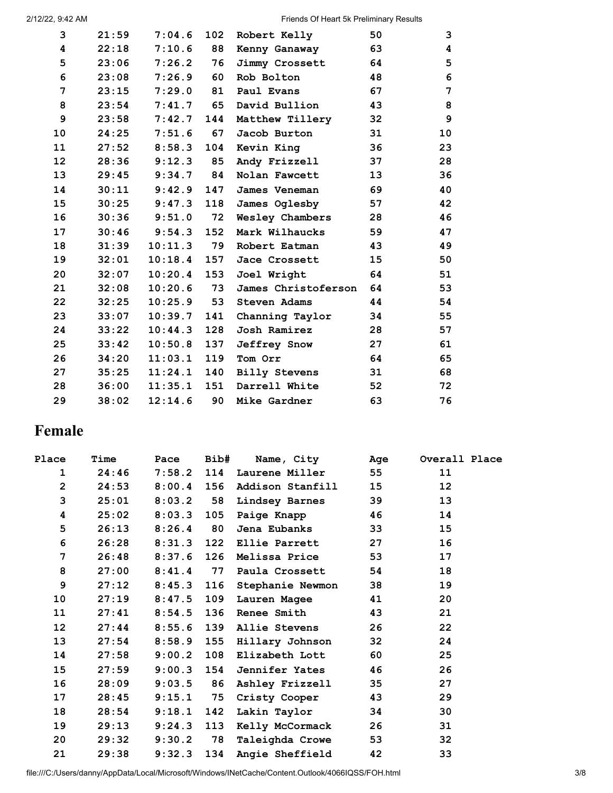| 3  | 21:59 | 7:04.6  | 102 | Robert Kelly         | 50 | 3               |
|----|-------|---------|-----|----------------------|----|-----------------|
| 4  | 22:18 | 7:10.6  | 88  | Kenny Ganaway        | 63 | 4               |
| 5  | 23:06 | 7:26.2  | 76  | Jimmy Crossett       | 64 | $5\phantom{.0}$ |
| 6  | 23:08 | 7:26.9  | 60  | Rob Bolton           | 48 | 6               |
| 7  | 23:15 | 7:29.0  | 81  | Paul Evans           | 67 | 7               |
| 8  | 23:54 | 7:41.7  | 65  | David Bullion        | 43 | 8               |
| 9  | 23:58 | 7:42.7  | 144 | Matthew Tillery      | 32 | 9               |
| 10 | 24:25 | 7:51.6  | 67  | Jacob Burton         | 31 | 10              |
| 11 | 27:52 | 8:58.3  | 104 | Kevin King           | 36 | 23              |
| 12 | 28:36 | 9:12.3  | 85  | Andy Frizzell        | 37 | 28              |
| 13 | 29:45 | 9:34.7  | 84  | Nolan Fawcett        | 13 | 36              |
| 14 | 30:11 | 9:42.9  | 147 | James Veneman        | 69 | 40              |
| 15 | 30:25 | 9:47.3  | 118 | James Oglesby        | 57 | 42              |
| 16 | 30:36 | 9:51.0  | 72  | Wesley Chambers      | 28 | 46              |
| 17 | 30:46 | 9:54.3  | 152 | Mark Wilhaucks       | 59 | 47              |
| 18 | 31:39 | 10:11.3 | 79  | Robert Eatman        | 43 | 49              |
| 19 | 32:01 | 10:18.4 | 157 | Jace Crossett        | 15 | 50              |
| 20 | 32:07 | 10:20.4 | 153 | Joel Wright          | 64 | 51              |
| 21 | 32:08 | 10:20.6 | 73  | James Christoferson  | 64 | 53              |
| 22 | 32:25 | 10:25.9 | 53  | <b>Steven Adams</b>  | 44 | 54              |
| 23 | 33:07 | 10:39.7 | 141 | Channing Taylor      | 34 | 55              |
| 24 | 33:22 | 10:44.3 | 128 | Josh Ramirez         | 28 | 57              |
| 25 | 33:42 | 10:50.8 | 137 | <b>Jeffrey Snow</b>  | 27 | 61              |
| 26 | 34:20 | 11:03.1 | 119 | Tom Orr              | 64 | 65              |
| 27 | 35:25 | 11:24.1 | 140 | <b>Billy Stevens</b> | 31 | 68              |
| 28 | 36:00 | 11:35.1 | 151 | Darrell White        | 52 | 72              |
| 29 | 38:02 | 12:14.6 | 90  | Mike Gardner         | 63 | 76              |

# **Female**

| Place           | Time  | Pace         | Bib# | Name, City            | Age             | Overall Place   |
|-----------------|-------|--------------|------|-----------------------|-----------------|-----------------|
| 1               | 24:46 | $7:58.2$ 114 |      | Laurene Miller        | 55              | 11              |
| $\overline{2}$  | 24:53 | $8:00.4$ 156 |      | Addison Stanfill      | 15              | 12 <sub>2</sub> |
| 3               | 25:01 | 8:03.2       | 58   | Lindsey Barnes        | 39              | 13              |
| 4               | 25:02 | $8:03.3$ 105 |      | Paige Knapp           | 46              | 14              |
| 5               | 26:13 | 8:26.4       | 80   | Jena Eubanks          | 33              | 15              |
| 6               | 26:28 | 8:31.3       | 122  | <b>Ellie Parrett</b>  | 27              | 16              |
| 7               | 26:48 | $8:37.6$ 126 |      | Melissa Price         | 53              | 17              |
| 8               | 27:00 | $8:41.4$ 77  |      | Paula Crossett        | 54              | 18              |
| $\mathbf{9}$    | 27:12 | 8:45.3       | 116  | Stephanie Newmon      | 38              | 19              |
| 10              | 27:19 | 8:47.5       | 109  | Lauren Magee          | 41              | 20              |
| 11              | 27:41 | $8:54.5$ 136 |      | <b>Renee Smith</b>    | 43              | 21              |
| 12              | 27:44 | $8:55.6$ 139 |      | Allie Stevens         | 26              | 22              |
| 13              | 27:54 | 8:58.9       | 155  | Hillary Johnson       | 32              | 24              |
| 14              | 27:58 | 9:00.2       | 108  | Elizabeth Lott        | 60              | 25              |
| 15 <sub>1</sub> | 27:59 | $9:00.3$ 154 |      | <b>Jennifer Yates</b> | 46              | 26              |
| 16              | 28:09 | 9:03.5       | 86   | Ashley Frizzell       | 35 <sub>2</sub> | 27              |
| 17              | 28:45 | $9:15.1$ 75  |      | Cristy Cooper         | 43              | 29              |
| 18              | 28:54 | 9:18.1       | 142  | Lakin Taylor          | 34              | 30              |
| 19              | 29:13 | 9:24.3       | 113  | Kelly McCormack       | 26              | 31              |
| 20              | 29:32 | 9:30.2       | 78   | Taleighda Crowe       | 53              | 32              |
| 21              | 29:38 | 9:32.3       | 134  | Angie Sheffield       | 42              | 33              |

file:///C:/Users/danny/AppData/Local/Microsoft/Windows/INetCache/Content.Outlook/4066IQSS/FOH.html 3/8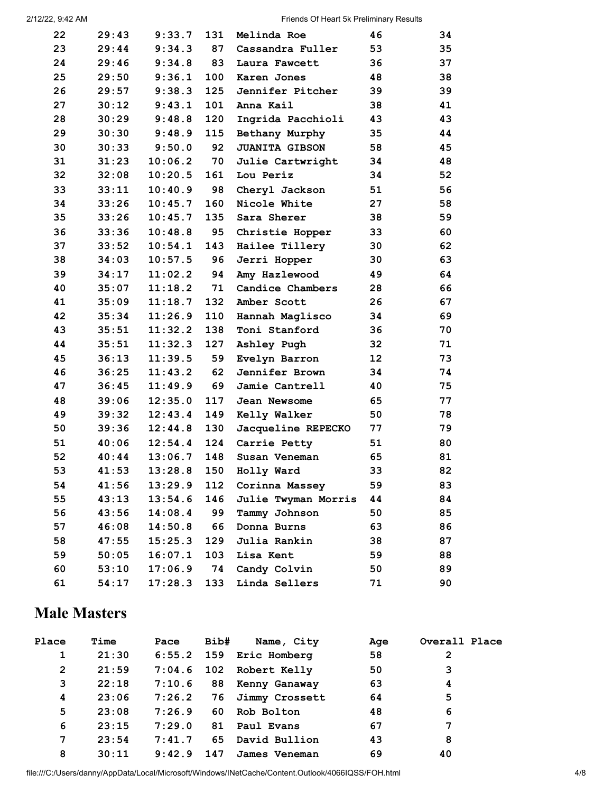| 22 | 29:43 | 9:33.7        | 131 | Melinda Roe           | 46              | 34 |
|----|-------|---------------|-----|-----------------------|-----------------|----|
| 23 | 29:44 | 9:34.3        | 87  | Cassandra Fuller      | 53              | 35 |
| 24 | 29:46 | 9:34.8        | 83  | Laura Fawcett         | 36              | 37 |
| 25 | 29:50 | 9:36.1        | 100 | Karen Jones           | 48              | 38 |
| 26 | 29:57 | 9:38.3        | 125 | Jennifer Pitcher      | 39              | 39 |
| 27 | 30:12 | 9:43.1        | 101 | Anna Kail             | 38              | 41 |
| 28 | 30:29 | 9:48.8        | 120 | Ingrida Pacchioli     | 43              | 43 |
| 29 | 30:30 | 9:48.9        | 115 | Bethany Murphy        | 35              | 44 |
| 30 | 30:33 | 9:50.0        | 92  | <b>JUANITA GIBSON</b> | 58              | 45 |
| 31 | 31:23 | 10:06.2       | 70  | Julie Cartwright      | 34              | 48 |
| 32 | 32:08 | 10:20.5       | 161 | Lou Periz             | 34              | 52 |
| 33 | 33:11 | 10:40.9       | 98  | Cheryl Jackson        | 51              | 56 |
| 34 | 33:26 | 10:45.7       | 160 | Nicole White          | 27              | 58 |
| 35 | 33:26 | 10:45.7       | 135 | Sara Sherer           | 38              | 59 |
| 36 | 33:36 | 10:48.8       | 95  | Christie Hopper       | 33              | 60 |
| 37 | 33:52 | 10:54.1       | 143 | Hailee Tillery        | 30              | 62 |
| 38 | 34:03 | 10:57.5       | 96  | Jerri Hopper          | 30              | 63 |
| 39 | 34:17 | 11:02.2       | 94  | Amy Hazlewood         | 49              | 64 |
| 40 | 35:07 | 11:18.2       | 71  | Candice Chambers      | 28              | 66 |
| 41 | 35:09 | $11:18.7$ 132 |     | Amber Scott           | 26              | 67 |
| 42 | 35:34 | 11:26.9       | 110 | Hannah Maglisco       | 34              | 69 |
| 43 | 35:51 | 11:32.2       | 138 | Toni Stanford         | 36              | 70 |
| 44 | 35:51 | 11:32.3       | 127 | Ashley Pugh           | 32              | 71 |
| 45 | 36:13 | 11:39.5       | 59  | Evelyn Barron         | 12 <sup>2</sup> | 73 |
| 46 | 36:25 | 11:43.2       | 62  | Jennifer Brown        | 34              | 74 |
| 47 | 36:45 | 11:49.9       | 69  | Jamie Cantrell        | 40              | 75 |
| 48 | 39:06 | 12:35.0       | 117 | Jean Newsome          | 65              | 77 |
| 49 | 39:32 | 12:43.4       | 149 | Kelly Walker          | 50              | 78 |
| 50 | 39:36 | 12:44.8       | 130 | Jacqueline REPECKO    | 77              | 79 |
| 51 | 40:06 | 12:54.4       | 124 | Carrie Petty          | 51              | 80 |
| 52 | 40:44 | 13:06.7       | 148 | Susan Veneman         | 65              | 81 |
| 53 | 41:53 | 13:28.8       | 150 | Holly Ward            | 33              | 82 |
| 54 | 41:56 | 13:29.9       | 112 | Corinna Massey        | 59              | 83 |
| 55 | 43:13 | 13:54.6       | 146 | Julie Twyman Morris   | 44              | 84 |
| 56 | 43:56 | 14:08.4       | 99  | Tammy Johnson         | 50              | 85 |
| 57 | 46:08 | 14:50.8       | 66  | Donna Burns           | 63              | 86 |
| 58 | 47:55 | 15:25.3       | 129 | Julia Rankin          | 38              | 87 |
| 59 | 50:05 | 16:07.1       | 103 | Lisa Kent             | 59              | 88 |
| 60 | 53:10 | 17:06.9       | 74  | Candy Colvin          | 50              | 89 |
| 61 | 54:17 | 17:28.3       | 133 | Linda Sellers         | 71              | 90 |

## **Male Masters**

| Place        | Time  | Pace   | Bib# | Name, City        | Age | Overall Place |
|--------------|-------|--------|------|-------------------|-----|---------------|
| 1            | 21:30 | 6:55.2 |      | 159 Eric Homberg  | 58  | $\mathbf{2}$  |
| $\mathbf{2}$ | 21:59 | 7:04.6 |      | 102 Robert Kelly  | 50  | 3             |
| 3            | 22:18 | 7:10.6 |      | 88 Kenny Ganaway  | 63  | 4             |
| 4            | 23:06 | 7:26.2 |      | 76 Jimmy Crossett | 64  | 5             |
| 5            | 23:08 | 7:26.9 | 60.  | Rob Bolton        | 48  | 6             |
| 6            | 23:15 | 7:29.0 |      | 81 Paul Evans     | 67  | 7             |
| 7            | 23:54 | 7:41.7 | 65   | David Bullion     | 43  | 8             |
| 8            | 30:11 | 9:42.9 | 147  | James Veneman     | 69  | 40            |

file:///C:/Users/danny/AppData/Local/Microsoft/Windows/INetCache/Content.Outlook/4066IQSS/FOH.html 4/8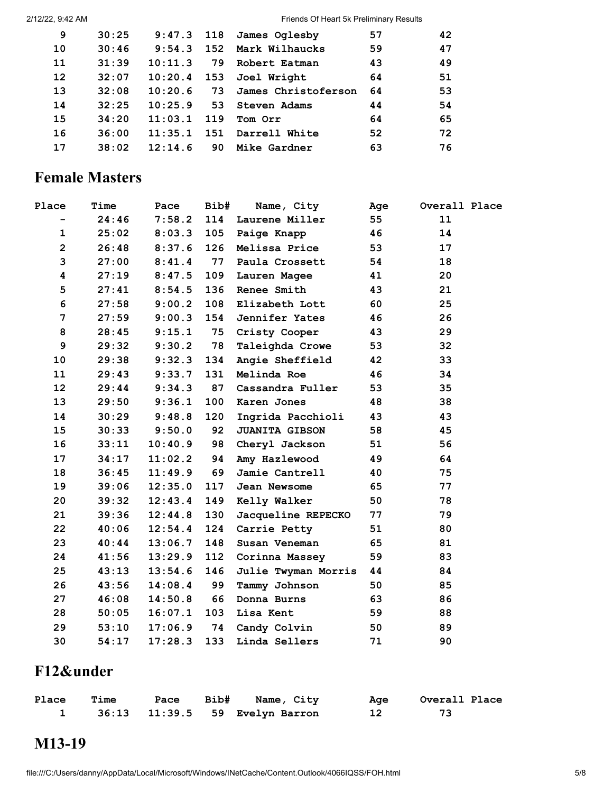Friends Of Heart 5k Preliminary Results

| 9                 | 30:25 | $9:47.3$ 118 |     | James Oglesby       | 57 | 42 |
|-------------------|-------|--------------|-----|---------------------|----|----|
| 10                | 30:46 | 9:54.3       | 152 | Mark Wilhaucks      | 59 | 47 |
| 11                | 31:39 | 10:11.3      | 79  | Robert Eatman       | 43 | 49 |
| $12 \overline{ }$ | 32:07 | 10:20.4      |     | 153 Joel Wright     | 64 | 51 |
| 13                | 32:08 | 10:20.6      | 73  | James Christoferson | 64 | 53 |
| 14                | 32:25 | 10:25.9      | 53  | Steven Adams        | 44 | 54 |
| 15                | 34:20 | 11:03.1      | 119 | Tom Orr             | 64 | 65 |
| 16                | 36:00 | 11:35.1      | 151 | Darrell White       | 52 | 72 |
| 17                | 38:02 | 12:14.6      | 90  | Mike Gardner        | 63 | 76 |

### **Female Masters**

| Place          | Time  | Pace    | Bib# | Name, City                 | Age | Overall Place |
|----------------|-------|---------|------|----------------------------|-----|---------------|
| -              | 24:46 | 7:58.2  | 114  | Laurene Miller             | 55  | 11            |
| $\mathbf{1}$   | 25:02 | 8:03.3  | 105  | Paige Knapp                | 46  | 14            |
| $\overline{2}$ | 26:48 | 8:37.6  | 126  | Melissa Price              | 53  | 17            |
| 3              | 27:00 | 8:41.4  | 77   | Paula Crossett             | 54  | 18            |
| 4              | 27:19 | 8:47.5  | 109  | Lauren Magee               | 41  | 20            |
| 5              | 27:41 | 8:54.5  | 136  | Renee Smith                | 43  | 21            |
| 6              | 27:58 | 9:00.2  | 108  | Elizabeth Lott             | 60  | 25            |
| 7              | 27:59 | 9:00.3  | 154  | Jennifer Yates             | 46  | 26            |
| 8              | 28:45 | 9:15.1  | 75   | Cristy Cooper              | 43  | 29            |
| 9              | 29:32 | 9:30.2  | 78   | Taleighda Crowe            | 53  | 32            |
| 10             | 29:38 | 9:32.3  | 134  | Angie Sheffield            | 42  | 33            |
| 11             | 29:43 | 9:33.7  | 131  | Melinda Roe                | 46  | 34            |
| 12             | 29:44 | 9:34.3  | 87   | Cassandra Fuller           | 53  | 35            |
| 13             | 29:50 | 9:36.1  | 100  | Karen Jones                | 48  | 38            |
| 14             | 30:29 | 9:48.8  | 120  | Ingrida Pacchioli          | 43  | 43            |
| 15             | 30:33 | 9:50.0  | 92   | <b>JUANITA GIBSON</b>      | 58  | 45            |
| 16             | 33:11 | 10:40.9 | 98   | Cheryl Jackson             | 51  | 56            |
| 17             | 34:17 | 11:02.2 | 94   | Amy Hazlewood              | 49  | 64            |
| 18             | 36:45 | 11:49.9 | 69   | Jamie Cantrell             | 40  | 75            |
| 19             | 39:06 | 12:35.0 | 117  | <b>Jean Newsome</b>        | 65  | 77            |
| 20             | 39:32 | 12:43.4 | 149  | Kelly Walker               | 50  | 78            |
| 21             | 39:36 | 12:44.8 | 130  | Jacqueline REPECKO         | 77  | 79            |
| 22             | 40:06 | 12:54.4 | 124  | Carrie Petty               | 51  | 80            |
| 23             | 40:44 | 13:06.7 | 148  | Susan Veneman              | 65  | 81            |
| 24             | 41:56 | 13:29.9 | 112  | Corinna Massey             | 59  | 83            |
| 25             | 43:13 | 13:54.6 | 146  | <b>Julie Twyman Morris</b> | 44  | 84            |
| 26             | 43:56 | 14:08.4 | 99   | Tammy Johnson              | 50  | 85            |
| 27             | 46:08 | 14:50.8 | 66   | Donna Burns                | 63  | 86            |
| 28             | 50:05 | 16:07.1 | 103  | Lisa Kent                  | 59  | 88            |
| 29             | 53:10 | 17:06.9 | 74   | Candy Colvin               | 50  | 89            |
| 30             | 54:17 | 17:28.3 | 133  | Linda Sellers              | 71  | 90            |

# **F12&under**

| Place | <b>Time</b> |  | Pace Bib# Name, City                    | Age | Overall Place |
|-------|-------------|--|-----------------------------------------|-----|---------------|
|       |             |  | 36:13    11:39.5    59    Evelyn Barron |     |               |

# **M13-19**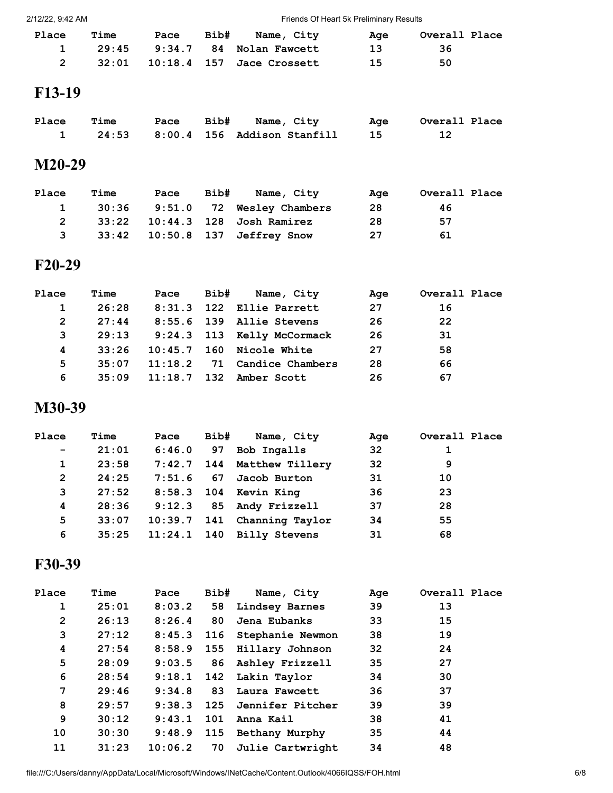2/12/22, 9:42 AM Friends Of Heart 5k Preliminary Results

| <b>Place</b> | <b>Time</b> |  | Pace Bib# Name, City               | Aae | Overall Place |  |
|--------------|-------------|--|------------------------------------|-----|---------------|--|
| $\mathbf{1}$ |             |  | 29:45 9:34.7 84 Nolan Fawcett      | 13  | -36           |  |
| 2            |             |  | 32:01  10:18.4  157  Jace Crossett | -15 | 50            |  |
| F12 10       |             |  |                                    |     |               |  |

#### **F13-19**

| Place | Time |  | Pace Bib# Name, City                 | Age | Overall Place |
|-------|------|--|--------------------------------------|-----|---------------|
|       |      |  | 24:53  8:00.4  156  Addison Stanfill |     |               |

#### **M20-29**

| Place        | Time | Pace | Bib# | Name, City                              | Age | Overall Place |  |
|--------------|------|------|------|-----------------------------------------|-----|---------------|--|
|              |      |      |      | 30:36 9:51.0 72 Wesley Chambers         | -28 | 46            |  |
| 2            |      |      |      | 33:22    10:44.3    128    Josh Ramirez | -28 | 57            |  |
| $\mathbf{3}$ |      |      |      | 33:42  10:50.8  137  Jeffrey Snow       | 27  | 61            |  |

#### **F20-29**

| Place | Time  | Pace    | Bib# | Name, City                 | Age | Overall Place |
|-------|-------|---------|------|----------------------------|-----|---------------|
|       | 26:28 |         |      | $8:31.3$ 122 Ellie Parrett | 27  | 16            |
| 2     | 27:44 |         |      | 8:55.6 139 Allie Stevens   | 26  | 22            |
| 3     | 29:13 |         |      | 9:24.3 113 Kelly McCormack | 26  | 31            |
| 4     | 33:26 |         |      | $10:45.7$ 160 Nicole White | 27  | 58            |
| 5     | 35:07 | 11:18.2 |      | 71 Candice Chambers        | 28  | 66            |
| 6     | 35:09 | 11:18.7 |      | 132 Amber Scott            | 26  | 67            |

#### **M30-39**

| Place                    | Time  | Pace   | Bib# | Name, City                  | Age | Overall Place |  |
|--------------------------|-------|--------|------|-----------------------------|-----|---------------|--|
| $\overline{\phantom{m}}$ | 21:01 | 6:46.0 | 97   | Bob Ingalls                 | 32  |               |  |
| 1                        | 23:58 |        |      | 7:42.7 144 Matthew Tillery  | 32  | 9             |  |
| $\mathbf{2}$             | 24:25 | 7:51.6 |      | 67 Jacob Burton             | 31  | 10            |  |
| 3                        | 27:52 |        |      | 8:58.3 104 Kevin King       | 36  | 23            |  |
| 4                        | 28:36 |        |      | 9:12.3 85 Andy Frizzell     | 37  | 28            |  |
| 5                        | 33:07 |        |      | 10:39.7 141 Channing Taylor | 34  | 55            |  |
| 6                        | 35:25 |        |      | $11:24.1$ 140 Billy Stevens | 31  | 68            |  |

### **F30-39**

| Place        | Time  | Pace    | Bib# | Name, City                  | Age | Overall Place |
|--------------|-------|---------|------|-----------------------------|-----|---------------|
| 1            | 25:01 | 8:03.2  | 58   | Lindsey Barnes              | 39  | 13            |
| $\mathbf{2}$ | 26:13 | 8:26.4  | 80   | Jena Eubanks                | 33  | 15            |
| 3            | 27:12 | 8:45.3  |      | 116 Stephanie Newmon        | 38  | 19            |
| 4            | 27:54 | 8:58.9  |      | 155 Hillary Johnson         | 32  | 24            |
| 5            | 28:09 |         |      | 9:03.5 86 Ashley Frizzell   | 35  | 27            |
| 6            | 28:54 |         |      | $9:18.1$ 142 Lakin Taylor   | 34  | 30            |
| 7            | 29:46 | 9:34.8  |      | 83 Laura Fawcett            | 36  | 37            |
| 8            | 29:57 |         |      | 9:38.3 125 Jennifer Pitcher | 39  | 39            |
| 9            | 30:12 | 9:43.1  |      | 101 Anna Kail               | 38  | 41            |
| 10           | 30:30 | 9:48.9  |      | 115 Bethany Murphy          | 35  | 44            |
| 11           | 31:23 | 10:06.2 | 70   | Julie Cartwright            | 34  | 48            |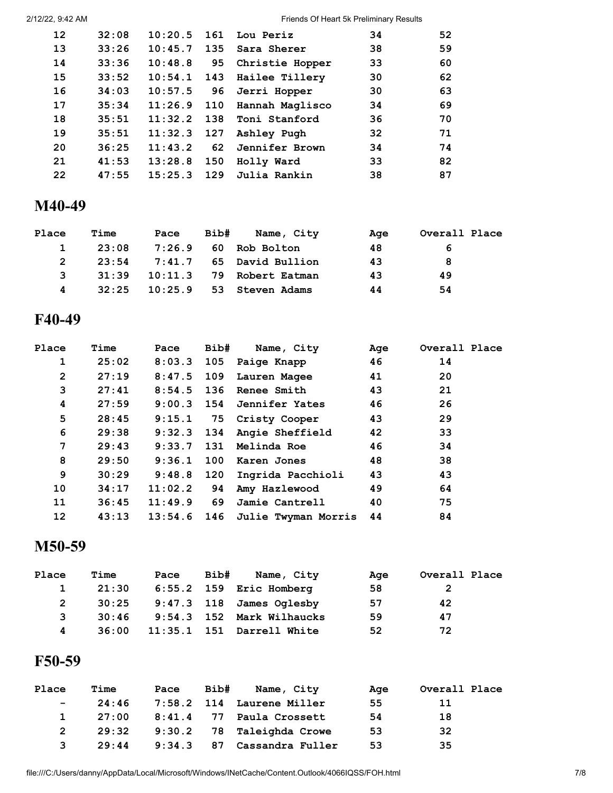| 2/12/22, 9:42 AM |
|------------------|
|------------------|

Friends Of Heart 5k Preliminary Results

| 12 <sup>2</sup> | 32:08 | 10:20.5       | 161 | Lou Periz          | 34 | 52 |
|-----------------|-------|---------------|-----|--------------------|----|----|
| 13              | 33:26 | 10:45.7       | 135 | Sara Sherer        | 38 | 59 |
| 14              | 33:36 | 10:48.8       | 95  | Christie Hopper    | 33 | 60 |
| 15              | 33:52 | 10:54.1       |     | 143 Hailee Tillery | 30 | 62 |
| 16              | 34:03 | 10:57.5       | 96  | Jerri Hopper       | 30 | 63 |
| 17              | 35:34 | 11:26.9       | 110 | Hannah Maglisco    | 34 | 69 |
| 18              | 35:51 | 11:32.2       | 138 | Toni Stanford      | 36 | 70 |
| 19              | 35:51 | $11:32.3$ 127 |     | Ashley Pugh        | 32 | 71 |
| 20              | 36:25 | 11:43.2       | 62  | Jennifer Brown     | 34 | 74 |
| 21              | 41:53 | 13:28.8       | 150 | Holly Ward         | 33 | 82 |
| 22              | 47:55 | 15:25.3       | 129 | Julia Rankin       | 38 | 87 |

#### **M40-49**

| Place | Time  | Pace | Bib# | Name, City               | Age | Overall Place |  |
|-------|-------|------|------|--------------------------|-----|---------------|--|
|       | 23:08 |      |      | 7:26.9  60 Rob Bolton    | 48  | 6             |  |
|       | 23:54 |      |      | 7:41.7 65 David Bullion  | 43  | 8             |  |
| 3     | 31:39 |      |      | 10:11.3 79 Robert Eatman | 43  | 49            |  |
| 4     | 32:25 |      |      | 10:25.9 53 Steven Adams  | 44  | 54            |  |

## **F40-49**

| Time  | Pace    |     |                   | Age                                                                                                                                               | Overall Place              |
|-------|---------|-----|-------------------|---------------------------------------------------------------------------------------------------------------------------------------------------|----------------------------|
| 25:02 |         |     |                   | 46                                                                                                                                                | 14                         |
| 27:19 | 8:47.5  |     |                   | 41                                                                                                                                                | 20                         |
| 27:41 |         |     |                   | 43                                                                                                                                                | 21                         |
| 27:59 |         |     |                   | 46                                                                                                                                                | 26                         |
| 28:45 | 9:15.1  |     |                   | 43                                                                                                                                                | 29                         |
| 29:38 |         |     | Angie Sheffield   | 42                                                                                                                                                | 33                         |
| 29:43 | 9:33.7  | 131 | Melinda Roe       | 46                                                                                                                                                | 34                         |
| 29:50 | 9:36.1  | 100 | Karen Jones       | 48                                                                                                                                                | 38                         |
| 30:29 | 9:48.8  | 120 | Ingrida Pacchioli | 43                                                                                                                                                | 43                         |
| 34:17 | 11:02.2 | 94  | Amy Hazlewood     | 49                                                                                                                                                | 64                         |
| 36:45 | 11:49.9 | 69  | Jamie Cantrell    | 40                                                                                                                                                | 75                         |
| 43:13 | 13:54.6 |     |                   |                                                                                                                                                   | 84                         |
|       |         |     | 8:03.3<br>8:54.5  | Bib# Name, City<br>105 Paige Knapp<br>109 Lauren Magee<br><b>136 Renee Smith</b><br>9:00.3 154 Jennifer Yates<br>75 Cristy Cooper<br>$9:32.3$ 134 | 146 Julie Twyman Morris 44 |

# **M50-59**

| Place | Time  | Pace | Bib# | Name, City                     | Age | Overall Place |  |
|-------|-------|------|------|--------------------------------|-----|---------------|--|
|       | 21:30 |      |      | $6:55.2$ 159 Eric Homberg      | 58  | 2             |  |
|       |       |      |      | 30:25 9:47.3 118 James Oglesby | 57  | 42            |  |
| 3     | 30:46 |      |      | 9:54.3 152 Mark Wilhaucks      | 59  | 47            |  |
| 4     | 36:00 |      |      | 11:35.1 151 Darrell White      | 52  | 72            |  |

### **F50-59**

| Place         | Time  | Pace   | Bib# | Name, City                | Age | Overall Place |
|---------------|-------|--------|------|---------------------------|-----|---------------|
| $\sim$ $\sim$ | 24:46 |        |      | 7:58.2 114 Laurene Miller | 55  | -11           |
| $\mathbf{1}$  | 27:00 | 8:41.4 |      | 77 Paula Crossett         | 54  | 18            |
|               | 29:32 |        |      | 9:30.2 78 Taleighda Crowe | 53  | 32            |
| 3             | 29:44 | 9:34.3 |      | 87 Cassandra Fuller       | 53  | 35            |